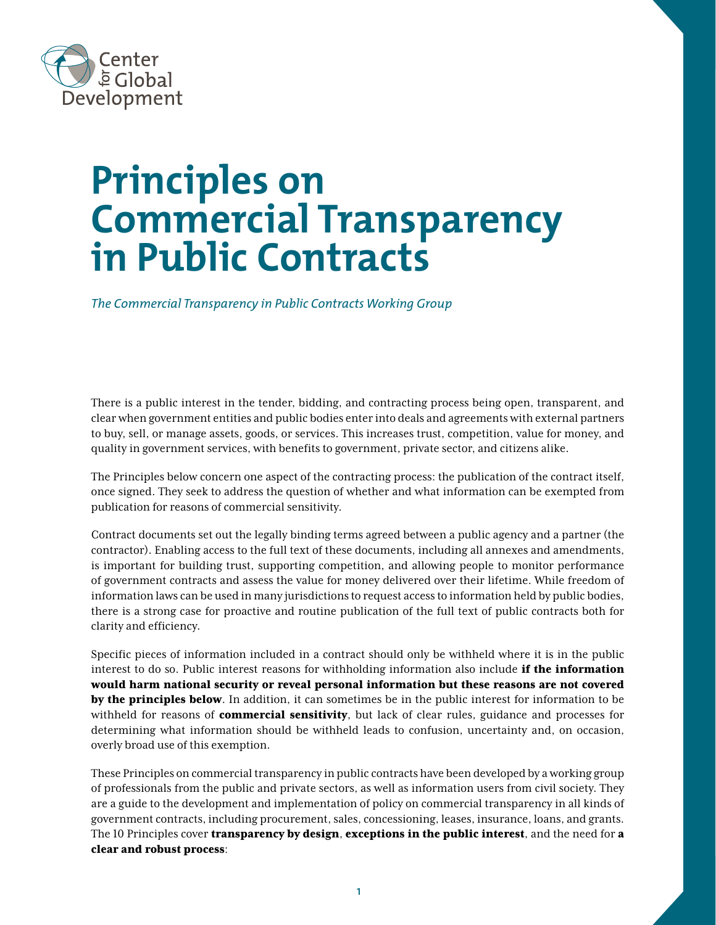

# **Principles on Commercial Transparency in Public Contracts**

*The Commercial Transparency in Public Contracts Working Group* 

There is a public interest in the tender, bidding, and contracting process being open, transparent, and clear when government entities and public bodies enter into deals and agreements with external partners to buy, sell, or manage assets, goods, or services. This increases trust, competition, value for money, and quality in government services, with benefits to government, private sector, and citizens alike.

The Principles below concern one aspect of the contracting process: the publication of the contract itself, once signed. They seek to address the question of whether and what information can be exempted from publication for reasons of commercial sensitivity.

Contract documents set out the legally binding terms agreed between a public agency and a partner (the contractor). Enabling access to the full text of these documents, including all annexes and amendments, is important for building trust, supporting competition, and allowing people to monitor performance of government contracts and assess the value for money delivered over their lifetime. While freedom of information laws can be used in many jurisdictions to request access to information held by public bodies, there is a strong case for proactive and routine publication of the full text of public contracts both for clarity and efficiency.

Specific pieces of information included in a contract should only be withheld where it is in the public interest to do so. Public interest reasons for withholding information also include **if the information** would harm national security or reveal personal information but these reasons are not covered by the principles below. In addition, it can sometimes be in the public interest for information to be withheld for reasons of **commercial sensitivity**, but lack of clear rules, guidance and processes for determining what information should be withheld leads to confusion, uncertainty and, on occasion, overly broad use of this exemption.

These Principles on commercial transparency in public contracts have been developed by a working group of professionals from the public and private sectors, as well as information users from civil society. They are a guide to the development and implementation of policy on commercial transparency in all kinds of government contracts, including procurement, sales, concessioning, leases, insurance, loans, and grants. The 10 Principles cover transparency by design, exceptions in the public interest, and the need for a clear and robust process: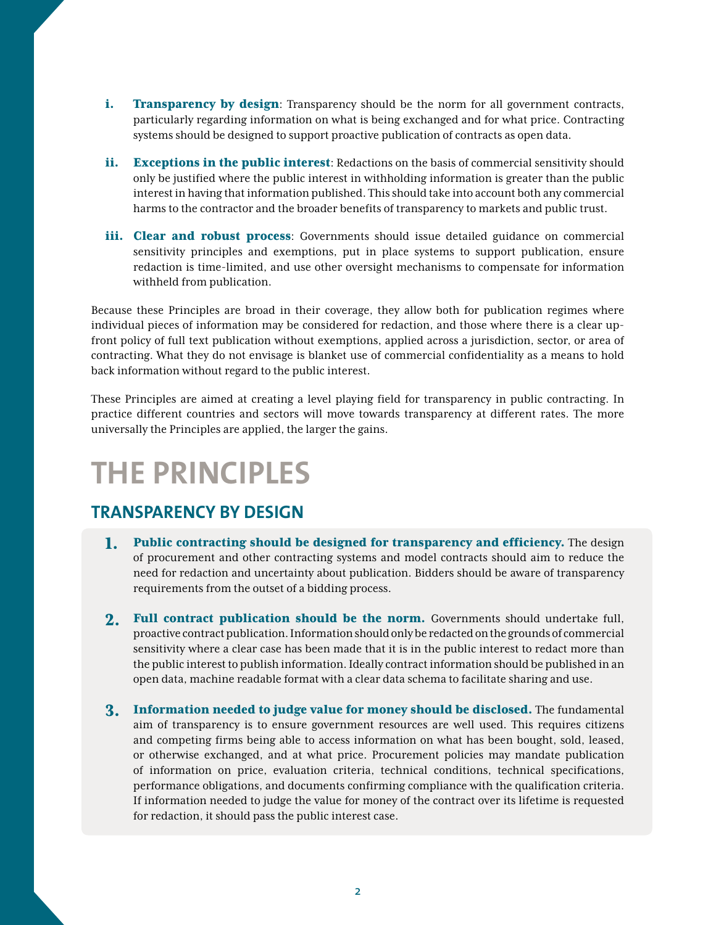- i. Transparency by design: Transparency should be the norm for all government contracts, particularly regarding information on what is being exchanged and for what price. Contracting systems should be designed to support proactive publication of contracts as open data.
- ii. **Exceptions in the public interest**: Redactions on the basis of commercial sensitivity should only be justified where the public interest in withholding information is greater than the public interest in having that information published. This should take into account both any commercial harms to the contractor and the broader benefits of transparency to markets and public trust.
- iii. Clear and robust process: Governments should issue detailed guidance on commercial sensitivity principles and exemptions, put in place systems to support publication, ensure redaction is time-limited, and use other oversight mechanisms to compensate for information withheld from publication.

Because these Principles are broad in their coverage, they allow both for publication regimes where individual pieces of information may be considered for redaction, and those where there is a clear upfront policy of full text publication without exemptions, applied across a jurisdiction, sector, or area of contracting. What they do not envisage is blanket use of commercial confidentiality as a means to hold back information without regard to the public interest.

These Principles are aimed at creating a level playing field for transparency in public contracting. In practice different countries and sectors will move towards transparency at different rates. The more universally the Principles are applied, the larger the gains.

## **THE PRINCIPLES**

#### **TRANSPARENCY BY DESIGN**

- 1. Public contracting should be designed for transparency and efficiency. The design of procurement and other contracting systems and model contracts should aim to reduce the need for redaction and uncertainty about publication. Bidders should be aware of transparency requirements from the outset of a bidding process.
- 2. Full contract publication should be the norm. Governments should undertake full, proactive contract publication. Information should only be redacted on the grounds of commercial sensitivity where a clear case has been made that it is in the public interest to redact more than the public interest to publish information. Ideally contract information should be published in an open data, machine readable format with a clear data schema to facilitate sharing and use.
- 3. Information needed to judge value for money should be disclosed. The fundamental aim of transparency is to ensure government resources are well used. This requires citizens and competing firms being able to access information on what has been bought, sold, leased, or otherwise exchanged, and at what price. Procurement policies may mandate publication of information on price, evaluation criteria, technical conditions, technical specifications, performance obligations, and documents confirming compliance with the qualification criteria. If information needed to judge the value for money of the contract over its lifetime is requested for redaction, it should pass the public interest case.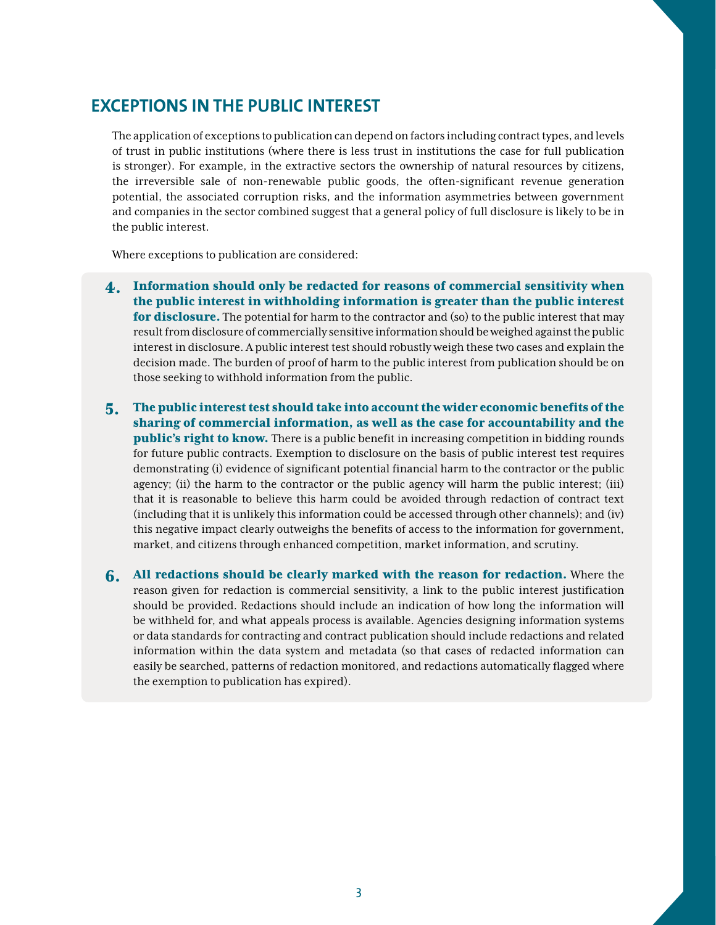### **EXCEPTIONS IN THE PUBLIC INTEREST**

The application of exceptions to publication can depend on factors including contract types, and levels of trust in public institutions (where there is less trust in institutions the case for full publication is stronger). For example, in the extractive sectors the ownership of natural resources by citizens, the irreversible sale of non-renewable public goods, the often-significant revenue generation potential, the associated corruption risks, and the information asymmetries between government and companies in the sector combined suggest that a general policy of full disclosure is likely to be in the public interest.

Where exceptions to publication are considered:

- 4. Information should only be redacted for reasons of commercial sensitivity when the public interest in withholding information is greater than the public interest for disclosure. The potential for harm to the contractor and (so) to the public interest that may result from disclosure of commercially sensitive information should be weighed against the public interest in disclosure. A public interest test should robustly weigh these two cases and explain the decision made. The burden of proof of harm to the public interest from publication should be on those seeking to withhold information from the public.
- 5. The public interest test should take into account the wider economic benefits of the sharing of commercial information, as well as the case for accountability and the **public's right to know.** There is a public benefit in increasing competition in bidding rounds for future public contracts. Exemption to disclosure on the basis of public interest test requires demonstrating (i) evidence of significant potential financial harm to the contractor or the public agency; (ii) the harm to the contractor or the public agency will harm the public interest; (iii) that it is reasonable to believe this harm could be avoided through redaction of contract text (including that it is unlikely this information could be accessed through other channels); and (iv) this negative impact clearly outweighs the benefits of access to the information for government, market, and citizens through enhanced competition, market information, and scrutiny.
- 6. All redactions should be clearly marked with the reason for redaction. Where the reason given for redaction is commercial sensitivity, a link to the public interest justification should be provided. Redactions should include an indication of how long the information will be withheld for, and what appeals process is available. Agencies designing information systems or data standards for contracting and contract publication should include redactions and related information within the data system and metadata (so that cases of redacted information can easily be searched, patterns of redaction monitored, and redactions automatically flagged where the exemption to publication has expired).